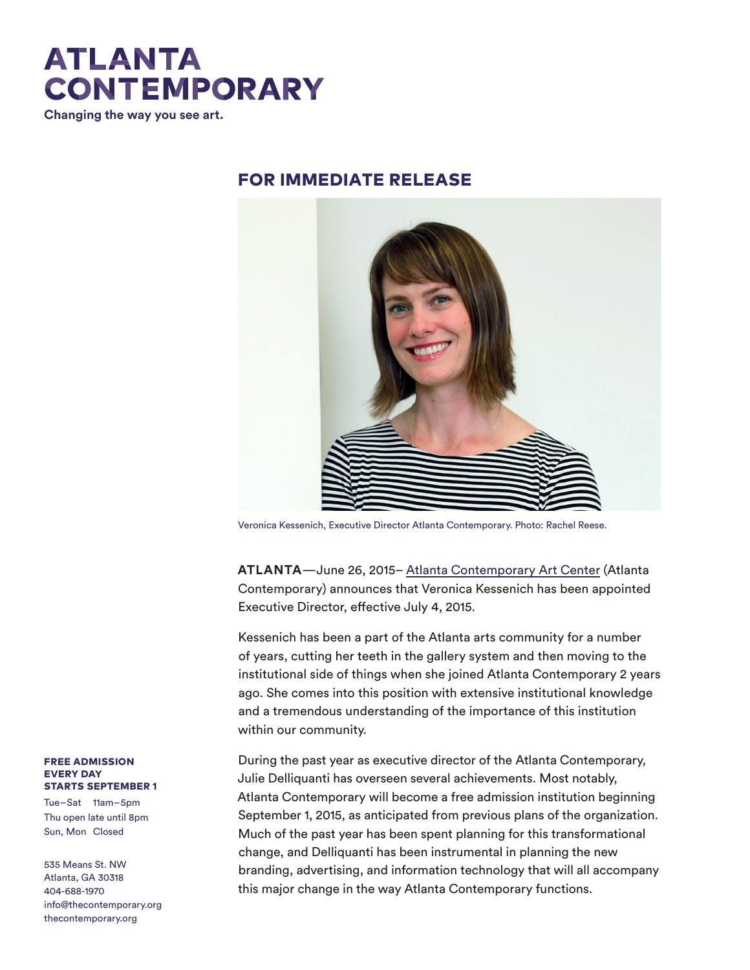

**Changing the way you see art.** 

## FOR IMMEDIATE RELEASE



Veronica Kessenich, Executive Director Atlanta Contemporary. Photo: Rachel Reese.

**ATLANTA**—June 26, 2015– Atlanta Contemporary Art Center (Atlanta Contemporary) announces that Veronica Kessenich has been appointed Executive Director, effective July 4, 2015.

Kessenich has been a part of the Atlanta arts community for a number of years, cutting her teeth in the gallery system and then moving to the institutional side of things when she joined Atlanta Contemporary 2 years ago. She comes into this position with extensive institutional knowledge and a tremendous understanding of the importance of this institution within our community.

During the past year as executive director of the Atlanta Contemporary, Julie Delliquanti has overseen several achievements. Most notably, Atlanta Contemporary will become a free admission institution beginning September 1, 2015, as anticipated from previous plans of the organization. Much of the past year has been spent planning for this transformational change, and Delliquanti has been instrumental in planning the new branding, advertising, and information technology that will all accompany this major change in the way Atlanta Contemporary functions.

## FREE ADMISSION EVERY DAY STARTS SEPTEMBER 1

Tue–Sat 11am–5pm Thu open late until 8pm Sun, Mon Closed

535 Means St. NW Atlanta, GA 30318 404-688-1970 info@thecontemporary.org thecontemporary.org